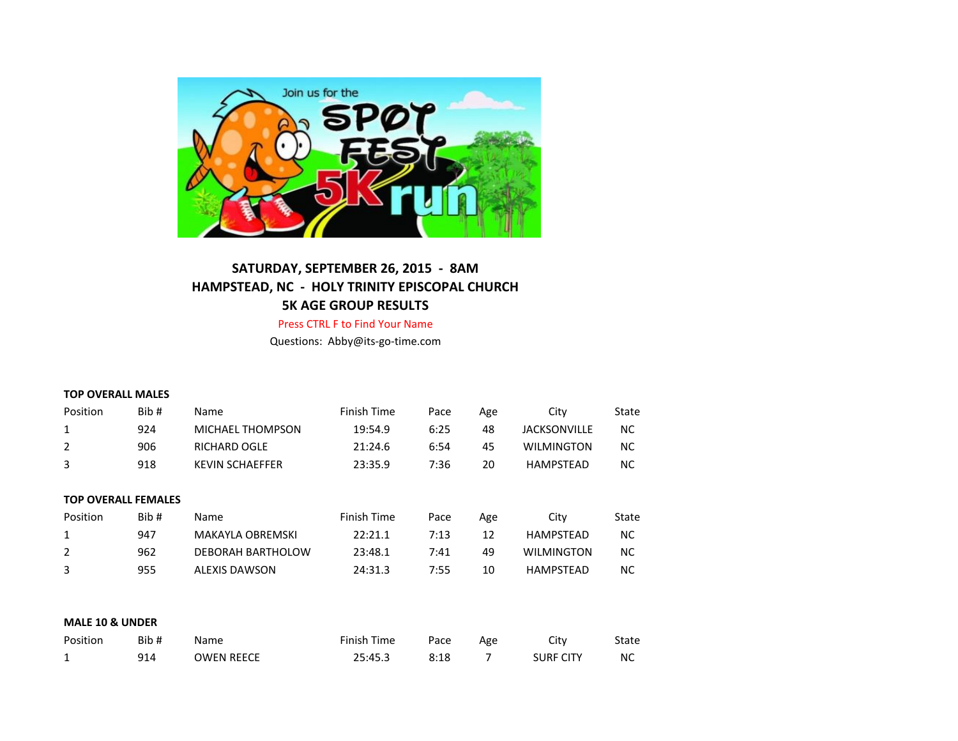

# **SATURDAY, SEPTEMBER 26, 2015 - 8AM HAMPSTEAD, NC - HOLY TRINITY EPISCOPAL CHURCH 5K AGE GROUP RESULTS**

Press CTRL F to Find Your Name

Questions: Abby@its-go-time.com

#### **TOP OVERALL MALES**

| Position | Bib # | <b>Name</b>             | Finish Time | Pace | Age | City                | State |
|----------|-------|-------------------------|-------------|------|-----|---------------------|-------|
|          | 924   | <b>MICHAEL THOMPSON</b> | 19:54.9     | 6:25 | 48  | <b>JACKSONVILLE</b> | ΝC    |
|          | 906   | <b>RICHARD OGLE</b>     | 21:24.6     | 6:54 | 45  | <b>WILMINGTON</b>   | NC    |
| 3        | 918   | <b>KEVIN SCHAEFFER</b>  | 23:35.9     | 7:36 | 20  | <b>HAMPSTEAD</b>    | ΝC    |
|          |       |                         |             |      |     |                     |       |

| <b>TOP OVERALL FEMALES</b> |      |                      |             |      |     |                   |       |
|----------------------------|------|----------------------|-------------|------|-----|-------------------|-------|
| Position                   | Bib# | <b>Name</b>          | Finish Time | Pace | Age | City              | State |
| 1                          | 947  | MAKAYLA OBREMSKI     | 22:21.1     | 7:13 | 12  | HAMPSTEAD         | NC.   |
| 2                          | 962  | DEBORAH BARTHOLOW    | 23:48.1     | 7:41 | 49  | <b>WILMINGTON</b> | NC.   |
| 3                          | 955  | <b>ALEXIS DAWSON</b> | 24:31.3     | 7:55 | 10  | HAMPSTEAD         | NC.   |

### **MALE 10 & UNDER**

| Position | Bib# | Name       | Finish Time | Pace | Age | Citv             | State |
|----------|------|------------|-------------|------|-----|------------------|-------|
| <b>L</b> | 914  | OWEN REECE | 25:45.3     | 8:18 |     | <b>SURF CITY</b> | NC    |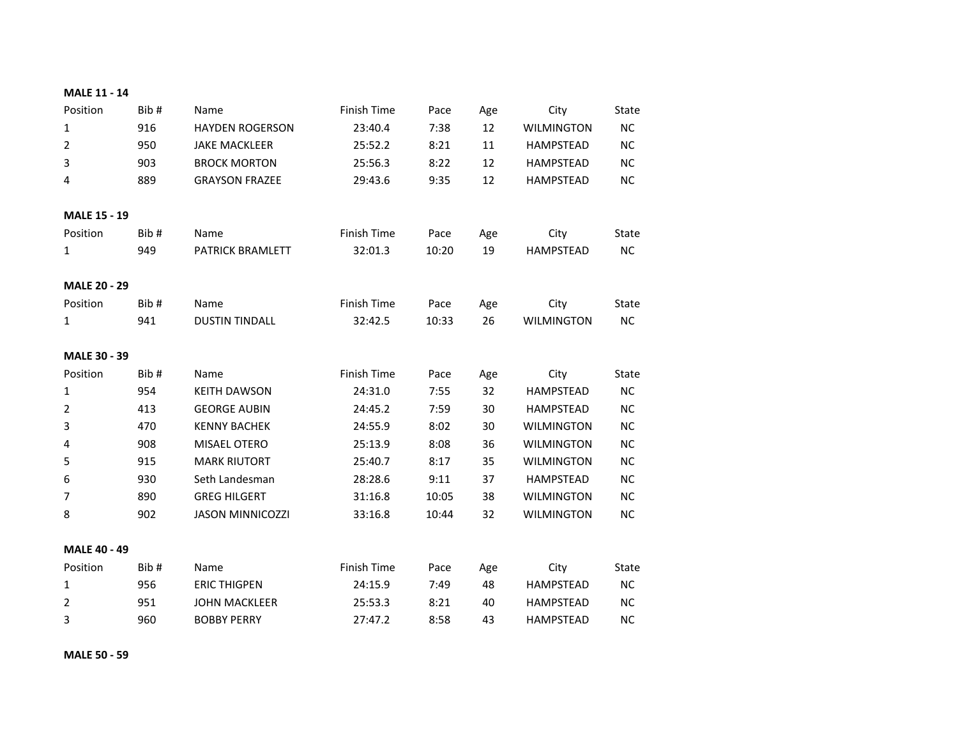| <b>MALE 11 - 14</b> |  |  |
|---------------------|--|--|
|---------------------|--|--|

| Position            | Bib# | Name                    | <b>Finish Time</b> | Pace  | Age | City              | <b>State</b> |
|---------------------|------|-------------------------|--------------------|-------|-----|-------------------|--------------|
| $\mathbf{1}$        | 916  | <b>HAYDEN ROGERSON</b>  | 23:40.4            | 7:38  | 12  | <b>WILMINGTON</b> | NC           |
| $\overline{2}$      | 950  | <b>JAKE MACKLEER</b>    | 25:52.2            | 8:21  | 11  | <b>HAMPSTEAD</b>  | <b>NC</b>    |
| 3                   | 903  | <b>BROCK MORTON</b>     | 25:56.3            | 8:22  | 12  | <b>HAMPSTEAD</b>  | <b>NC</b>    |
| 4                   | 889  | <b>GRAYSON FRAZEE</b>   | 29:43.6            | 9:35  | 12  | <b>HAMPSTEAD</b>  | <b>NC</b>    |
|                     |      |                         |                    |       |     |                   |              |
| <b>MALE 15 - 19</b> |      |                         |                    |       |     |                   |              |
| Position            | Bib# | Name                    | Finish Time        | Pace  | Age | City              | State        |
| $\mathbf{1}$        | 949  | PATRICK BRAMLETT        | 32:01.3            | 10:20 | 19  | <b>HAMPSTEAD</b>  | NC           |
|                     |      |                         |                    |       |     |                   |              |
| <b>MALE 20 - 29</b> |      |                         |                    |       |     |                   |              |
| Position            | Bib# | Name                    | Finish Time        | Pace  | Age | City              | State        |
| $\mathbf{1}$        | 941  | <b>DUSTIN TINDALL</b>   | 32:42.5            | 10:33 | 26  | <b>WILMINGTON</b> | <b>NC</b>    |
|                     |      |                         |                    |       |     |                   |              |
| MALE 30 - 39        |      |                         |                    |       |     |                   |              |
| Position            | Bib# | Name                    | Finish Time        | Pace  | Age | City              | State        |
| $\mathbf{1}$        | 954  | <b>KEITH DAWSON</b>     | 24:31.0            | 7:55  | 32  | <b>HAMPSTEAD</b>  | <b>NC</b>    |
| $\overline{2}$      | 413  | <b>GEORGE AUBIN</b>     | 24:45.2            | 7:59  | 30  | <b>HAMPSTEAD</b>  | <b>NC</b>    |
| 3                   | 470  | <b>KENNY BACHEK</b>     | 24:55.9            | 8:02  | 30  | <b>WILMINGTON</b> | <b>NC</b>    |
| 4                   | 908  | MISAEL OTERO            | 25:13.9            | 8:08  | 36  | <b>WILMINGTON</b> | <b>NC</b>    |
| 5                   | 915  | <b>MARK RIUTORT</b>     | 25:40.7            | 8:17  | 35  | <b>WILMINGTON</b> | <b>NC</b>    |
| 6                   | 930  | Seth Landesman          | 28:28.6            | 9:11  | 37  | <b>HAMPSTEAD</b>  | <b>NC</b>    |
| 7                   | 890  | <b>GREG HILGERT</b>     | 31:16.8            | 10:05 | 38  | <b>WILMINGTON</b> | NC           |
| 8                   | 902  | <b>JASON MINNICOZZI</b> | 33:16.8            | 10:44 | 32  | <b>WILMINGTON</b> | <b>NC</b>    |
|                     |      |                         |                    |       |     |                   |              |
| <b>MALE 40 - 49</b> |      |                         |                    |       |     |                   |              |
| Position            | Bib# | Name                    | Finish Time        | Pace  | Age | City              | State        |
|                     | 956  | <b>ERIC THIGPEN</b>     | 24:15.9            | 7:49  | 48  | <b>HAMPSTEAD</b>  | NC.          |
| 1                   |      |                         |                    |       |     |                   |              |
| $\overline{2}$      | 951  | <b>JOHN MACKLEER</b>    | 25:53.3            | 8:21  | 40  | <b>HAMPSTEAD</b>  | <b>NC</b>    |

**MALE 50 - 59**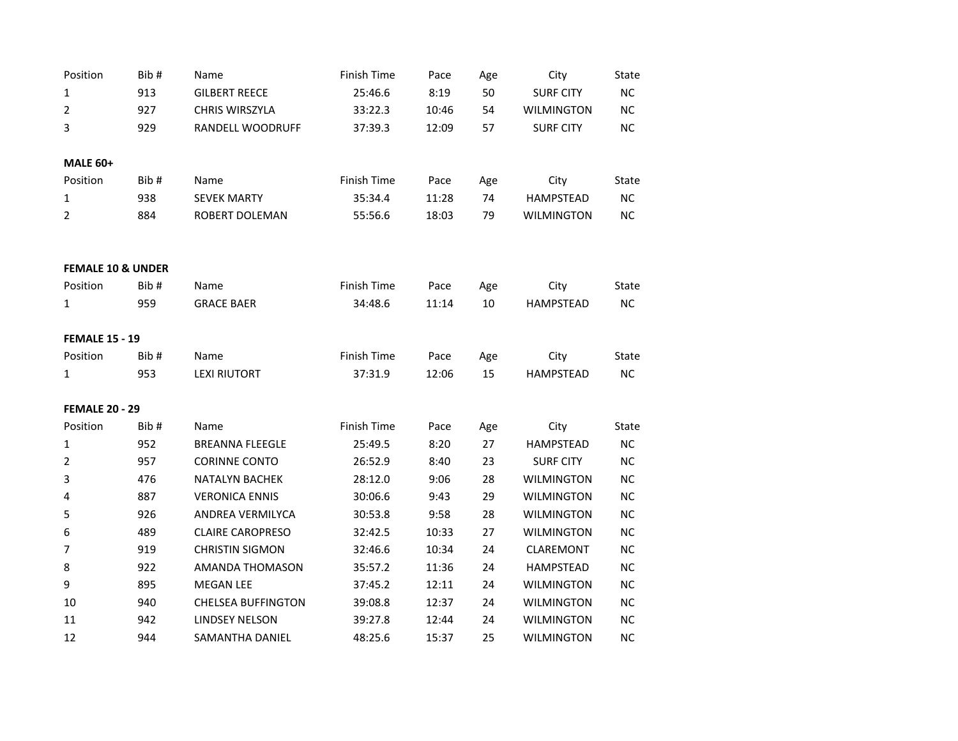| Position                     | Bib# | Name                      | <b>Finish Time</b> | Pace  |     | City              | State     |
|------------------------------|------|---------------------------|--------------------|-------|-----|-------------------|-----------|
|                              |      |                           |                    |       | Age |                   |           |
| 1                            | 913  | <b>GILBERT REECE</b>      | 25:46.6            | 8:19  | 50  | <b>SURF CITY</b>  | NC        |
| $\overline{2}$               | 927  | <b>CHRIS WIRSZYLA</b>     | 33:22.3            | 10:46 | 54  | WILMINGTON        | NC        |
| 3                            | 929  | RANDELL WOODRUFF          | 37:39.3            | 12:09 | 57  | <b>SURF CITY</b>  | <b>NC</b> |
|                              |      |                           |                    |       |     |                   |           |
| <b>MALE 60+</b>              |      |                           |                    |       |     |                   |           |
| Position                     | Bib# | Name                      | <b>Finish Time</b> | Pace  | Age | City              | State     |
| 1                            | 938  | <b>SEVEK MARTY</b>        | 35:34.4            | 11:28 | 74  | <b>HAMPSTEAD</b>  | <b>NC</b> |
| 2                            | 884  | ROBERT DOLEMAN            | 55:56.6            | 18:03 | 79  | <b>WILMINGTON</b> | <b>NC</b> |
|                              |      |                           |                    |       |     |                   |           |
|                              |      |                           |                    |       |     |                   |           |
| <b>FEMALE 10 &amp; UNDER</b> |      |                           |                    |       |     |                   |           |
| Position                     | Bib# | Name                      | <b>Finish Time</b> | Pace  | Age | City              | State     |
| 1                            | 959  | <b>GRACE BAER</b>         | 34:48.6            | 11:14 | 10  | <b>HAMPSTEAD</b>  | NC        |
| <b>FEMALE 15 - 19</b>        |      |                           |                    |       |     |                   |           |
| Position                     | Bib# | Name                      | <b>Finish Time</b> | Pace  | Age | City              | State     |
| 1                            | 953  | <b>LEXI RIUTORT</b>       | 37:31.9            | 12:06 | 15  | <b>HAMPSTEAD</b>  | NC.       |
|                              |      |                           |                    |       |     |                   |           |
| <b>FEMALE 20 - 29</b>        |      |                           |                    |       |     |                   |           |
| Position                     | Bib# | Name                      | <b>Finish Time</b> | Pace  | Age | City              | State     |
| 1                            | 952  | <b>BREANNA FLEEGLE</b>    | 25:49.5            | 8:20  | 27  | <b>HAMPSTEAD</b>  | <b>NC</b> |
| $\overline{2}$               | 957  | <b>CORINNE CONTO</b>      | 26:52.9            | 8:40  | 23  | <b>SURF CITY</b>  | <b>NC</b> |
| 3                            | 476  | <b>NATALYN BACHEK</b>     | 28:12.0            | 9:06  | 28  | <b>WILMINGTON</b> | NC        |
| 4                            | 887  | <b>VERONICA ENNIS</b>     | 30:06.6            | 9:43  | 29  | <b>WILMINGTON</b> | NC        |
| 5                            | 926  | ANDREA VERMILYCA          | 30:53.8            | 9:58  | 28  | <b>WILMINGTON</b> | NC        |
| 6                            | 489  | <b>CLAIRE CAROPRESO</b>   | 32:42.5            | 10:33 | 27  | <b>WILMINGTON</b> | <b>NC</b> |
| $\overline{7}$               | 919  | <b>CHRISTIN SIGMON</b>    | 32:46.6            | 10:34 | 24  | CLAREMONT         | <b>NC</b> |
| 8                            | 922  | AMANDA THOMASON           | 35:57.2            | 11:36 | 24  | <b>HAMPSTEAD</b>  | NС        |
| 9                            | 895  | <b>MEGAN LEE</b>          | 37:45.2            | 12:11 | 24  | <b>WILMINGTON</b> | <b>NC</b> |
| 10                           | 940  | <b>CHELSEA BUFFINGTON</b> | 39:08.8            | 12:37 | 24  | <b>WILMINGTON</b> | <b>NC</b> |
| 11                           | 942  | <b>LINDSEY NELSON</b>     | 39:27.8            | 12:44 | 24  | <b>WILMINGTON</b> | <b>NC</b> |
| 12                           | 944  | SAMANTHA DANIEL           | 48:25.6            | 15:37 | 25  | <b>WILMINGTON</b> | NC.       |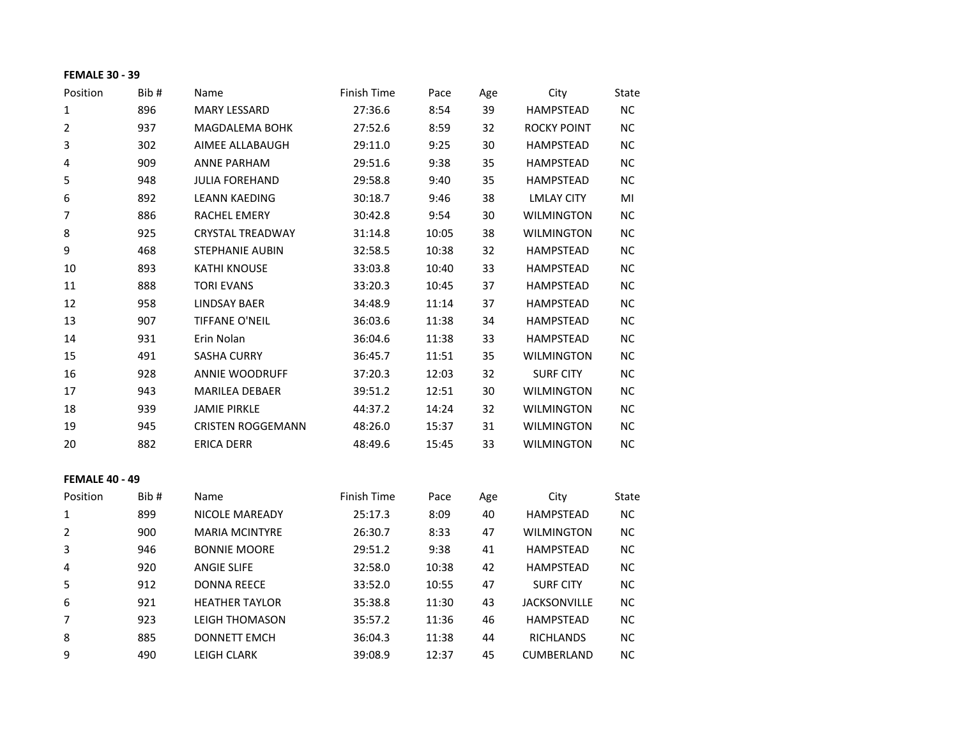## **FEMALE 30 - 39**

| Position              | Bib# | Name                     | Finish Time | Pace  | Age | City               | State     |
|-----------------------|------|--------------------------|-------------|-------|-----|--------------------|-----------|
| $\mathbf{1}$          | 896  | <b>MARY LESSARD</b>      | 27:36.6     | 8:54  | 39  | <b>HAMPSTEAD</b>   | NC.       |
| $\overline{2}$        | 937  | <b>MAGDALEMA BOHK</b>    | 27:52.6     | 8:59  | 32  | <b>ROCKY POINT</b> | NC.       |
| 3                     | 302  | AIMEE ALLABAUGH          | 29:11.0     | 9:25  | 30  | <b>HAMPSTEAD</b>   | NC.       |
| 4                     | 909  | <b>ANNE PARHAM</b>       | 29:51.6     | 9:38  | 35  | <b>HAMPSTEAD</b>   | NC.       |
| 5                     | 948  | <b>JULIA FOREHAND</b>    | 29:58.8     | 9:40  | 35  | <b>HAMPSTEAD</b>   | NC.       |
| 6                     | 892  | <b>LEANN KAEDING</b>     | 30:18.7     | 9:46  | 38  | <b>LMLAY CITY</b>  | MI        |
| 7                     | 886  | <b>RACHEL EMERY</b>      | 30:42.8     | 9:54  | 30  | <b>WILMINGTON</b>  | NC.       |
| 8                     | 925  | <b>CRYSTAL TREADWAY</b>  | 31:14.8     | 10:05 | 38  | <b>WILMINGTON</b>  | NC.       |
| 9                     | 468  | <b>STEPHANIE AUBIN</b>   | 32:58.5     | 10:38 | 32  | <b>HAMPSTEAD</b>   | NC.       |
| 10                    | 893  | <b>KATHI KNOUSE</b>      | 33:03.8     | 10:40 | 33  | <b>HAMPSTEAD</b>   | NC.       |
| 11                    | 888  | <b>TORI EVANS</b>        | 33:20.3     | 10:45 | 37  | <b>HAMPSTEAD</b>   | <b>NC</b> |
| 12                    | 958  | <b>LINDSAY BAER</b>      | 34:48.9     | 11:14 | 37  | <b>HAMPSTEAD</b>   | NC.       |
| 13                    | 907  | <b>TIFFANE O'NEIL</b>    | 36:03.6     | 11:38 | 34  | <b>HAMPSTEAD</b>   | NC.       |
| 14                    | 931  | Erin Nolan               | 36:04.6     | 11:38 | 33  | <b>HAMPSTEAD</b>   | NC.       |
| 15                    | 491  | <b>SASHA CURRY</b>       | 36:45.7     | 11:51 | 35  | <b>WILMINGTON</b>  | NC.       |
| 16                    | 928  | <b>ANNIE WOODRUFF</b>    | 37:20.3     | 12:03 | 32  | <b>SURF CITY</b>   | NC.       |
| 17                    | 943  | <b>MARILEA DEBAER</b>    | 39:51.2     | 12:51 | 30  | <b>WILMINGTON</b>  | NC.       |
| 18                    | 939  | <b>JAMIE PIRKLE</b>      | 44:37.2     | 14:24 | 32  | <b>WILMINGTON</b>  | NC.       |
| 19                    | 945  | <b>CRISTEN ROGGEMANN</b> | 48:26.0     | 15:37 | 31  | <b>WILMINGTON</b>  | NC.       |
| 20                    | 882  | <b>ERICA DERR</b>        | 48:49.6     | 15:45 | 33  | <b>WILMINGTON</b>  | <b>NC</b> |
| <b>FEMALE 40 - 49</b> |      |                          |             |       |     |                    |           |
| Position              | Bib# | Name                     | Finish Time | Pace  | Age | City               | State     |
| 1                     | 899  | <b>NICOLE MAREADY</b>    | 25:17.3     | 8:09  | 40  | <b>HAMPSTEAD</b>   | <b>NC</b> |
| $\overline{2}$        | 900  | <b>MARIA MCINTYRE</b>    | 26:30.7     | 8:33  | 47  | <b>WILMINGTON</b>  | NC.       |
| 3                     | 946  | <b>BONNIE MOORE</b>      | 29:51.2     | 9:38  | 41  | <b>HAMPSTEAD</b>   | NC.       |

|   | <b>JUU</b> | <b>IVIAINA IVIUIN LIINE</b> | 20.JU. <i>I</i> | ر ر.ن | 47 | <u>VVILIVIIIVU I UIV</u> | 14 U      |
|---|------------|-----------------------------|-----------------|-------|----|--------------------------|-----------|
| 3 | 946        | <b>BONNIE MOORE</b>         | 29:51.2         | 9:38  | 41 | <b>HAMPSTEAD</b>         | <b>NC</b> |
| 4 | 920        | <b>ANGIE SLIFE</b>          | 32:58.0         | 10:38 | 42 | <b>HAMPSTEAD</b>         | <b>NC</b> |
| 5 | 912        | <b>DONNA REECE</b>          | 33:52.0         | 10:55 | 47 | <b>SURF CITY</b>         | <b>NC</b> |
| 6 | 921        | <b>HEATHER TAYLOR</b>       | 35:38.8         | 11:30 | 43 | <b>JACKSONVILLE</b>      | <b>NC</b> |
| 7 | 923        | LEIGH THOMASON              | 35:57.2         | 11:36 | 46 | <b>HAMPSTEAD</b>         | <b>NC</b> |
| 8 | 885        | <b>DONNETT EMCH</b>         | 36:04.3         | 11:38 | 44 | <b>RICHLANDS</b>         | <b>NC</b> |
| 9 | 490        | <b>LEIGH CLARK</b>          | 39:08.9         | 12:37 | 45 | <b>CUMBERLAND</b>        | NC.       |